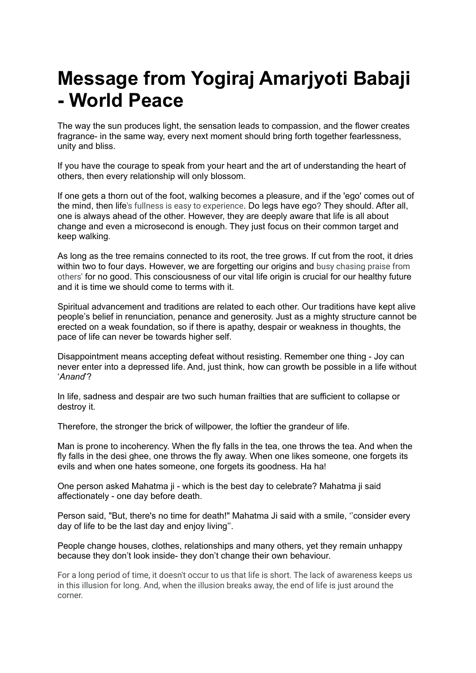## **Message from Yogiraj Amarjyoti Babaji - World Peace**

The way the sun produces light, the sensation leads to compassion, and the flower creates fragrance- in the same way, every next moment should bring forth together fearlessness, unity and bliss.

If you have the courage to speak from your heart and the art of understanding the heart of others, then every relationship will only blossom.

If one gets a thorn out of the foot, walking becomes a pleasure, and if the 'ego' comes out of the mind, then life's fullness is easy to experience. Do legs have ego? They should. After all, one is always ahead of the other. However, they are deeply aware that life is all about change and even a microsecond is enough. They just focus on their common target and keep walking.

As long as the tree remains connected to its root, the tree grows. If cut from the root, it dries within two to four days. However, we are forgetting our origins and busy chasing praise from others' for no good. This consciousness of our vital life origin is crucial for our healthy future and it is time we should come to terms with it.

Spiritual advancement and traditions are related to each other. Our traditions have kept alive people's belief in renunciation, penance and generosity. Just as a mighty structure cannot be erected on a weak foundation, so if there is apathy, despair or weakness in thoughts, the pace of life can never be towards higher self.

Disappointment means accepting defeat without resisting. Remember one thing - Joy can never enter into a depressed life. And, just think, how can growth be possible in a life without '*Anand*'?

In life, sadness and despair are two such human frailties that are sufficient to collapse or destroy it.

Therefore, the stronger the brick of willpower, the loftier the grandeur of life.

Man is prone to incoherency. When the fly falls in the tea, one throws the tea. And when the fly falls in the desi ghee, one throws the fly away. When one likes someone, one forgets its evils and when one hates someone, one forgets its goodness. Ha ha!

One person asked Mahatma ji - which is the best day to celebrate? Mahatma ji said affectionately - one day before death.

Person said, "But, there's no time for death!" Mahatma Ji said with a smile, ''consider every day of life to be the last day and enjoy living''.

People change houses, clothes, relationships and many others, yet they remain unhappy because they don't look inside- they don't change their own behaviour.

For a long period of time, it doesn't occur to us that life is short. The lack of awareness keeps us in this illusion for long. And, when the illusion breaks away, the end of life is just around the corner.